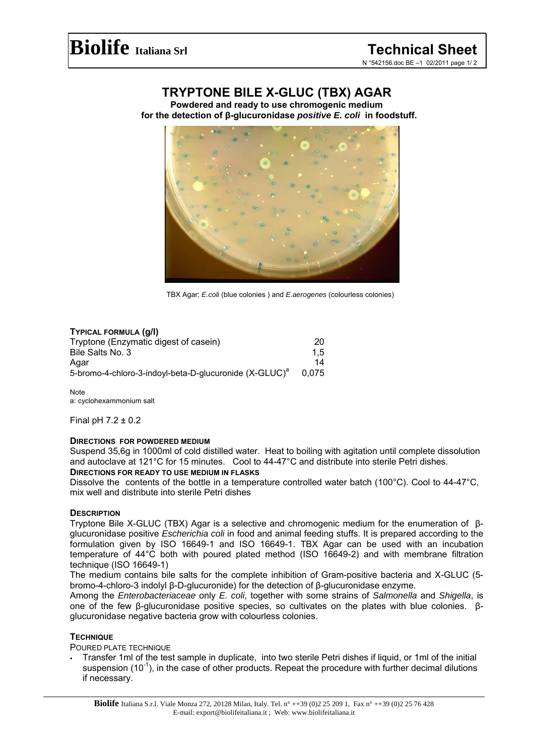# **TRYPTONE BILE X-GLUC (TBX) AGAR**

**Powdered and ready to use chromogenic medium for the detection of β-glucuronidase** *positive E. coli* **in foodstuff.** 



TBX Agar: *E.coli* (blue colonies ) and *E.aerogenes* (colourless colonies)

# **TYPICAL FORMULA (g/l)**

| Tryptone (Enzymatic digest of casein)                              | 20    |
|--------------------------------------------------------------------|-------|
| Bile Salts No. 3                                                   | 1.5   |
| Agar                                                               | 14    |
| 5-bromo-4-chloro-3-indoyl-beta-D-glucuronide (X-GLUC) <sup>a</sup> | 0.075 |

**Note** a: cyclohexammonium salt

Final pH 7.2 ± 0.2

# **DIRECTIONS FOR POWDERED MEDIUM**

Suspend 35,6g in 1000ml of cold distilled water. Heat to boiling with agitation until complete dissolution and autoclave at 121°C for 15 minutes. Cool to 44-47°C and distribute into sterile Petri dishes.

## **DIRECTIONS FOR READY TO USE MEDIUM IN FLASKS**

Dissolve the contents of the bottle in a temperature controlled water batch (100°C). Cool to 44-47°C, mix well and distribute into sterile Petri dishes

# **DESCRIPTION**

Tryptone Bile X-GLUC (TBX) Agar is a selective and chromogenic medium for the enumeration of βglucuronidase positive *Escherichia coli* in food and animal feeding stuffs. It is prepared according to the formulation given by ISO 16649-1 and ISO 16649-1. TBX Agar can be used with an incubation temperature of 44°C both with poured plated method (ISO 16649-2) and with membrane filtration technique (ISO 16649-1)

The medium contains bile salts for the complete inhibition of Gram-positive bacteria and X-GLUC (5 bromo-4-chloro-3 indolyl β-D-glucuronide) for the detection of β-glucuronidase enzyme.

Among the *Enterobacteriaceae* only *E. coli*, together with some strains of *Salmonella* and *Shigella*, is one of the few β-glucuronidase positive species, so cultivates on the plates with blue colonies. βglucuronidase negative bacteria grow with colourless colonies.

# **TECHNIQUE**

POURED PLATE TECHNIQUE

 Transfer 1ml of the test sample in duplicate, into two sterile Petri dishes if liquid, or 1ml of the initial suspension  $(10^{-1})$ , in the case of other products. Repeat the procedure with further decimal dilutions if necessary.